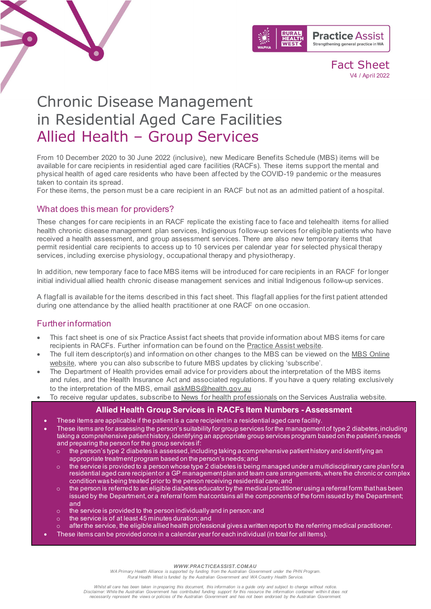

Fact Sheet V4 / April 2022

# Chronic Disease Management in Residential Aged Care Facilities Allied Health – Group Services

From 10 December 2020 to 30 June 2022 (inclusive), new Medicare Benefits Schedule (MBS) items will be available for care recipients in residential aged care facilities (RACFs). These items support the mental and physical health of aged care residents who have been affected by the COVID-19 pandemic or the measures taken to contain its spread.

For these items, the person must be a care recipient in an RACF but not as an admitted patient of a hospital.

### What does this mean for providers?

These changes for care recipients in an RACF replicate the existing face to face and telehealth items for allied health chronic disease management plan services, Indigenous follow-up services for eligible patients who have received a health assessment, and group assessment services. There are also new temporary items that permit residential care recipients to access up to 10 services per calendar year for selected physical therapy services, including exercise physiology, occupational therapy and physiotherapy.

In addition, new temporary face to face MBS items will be introduced for care recipients in an RACF for longer initial individual allied health chronic disease management services and initial Indigenous follow-up services.

A flagfall is available for the items described in this fact sheet. This flagfall applies for the first patient attended during one attendance by the allied health practitioner at one RACF on one occasion.

## Further information

- This fact sheet is one of six Practice Assist fact sheets that provide information about MBS items for care recipients in RACFs. Further information can be found on the [Practice Assist website.](https://www.practiceassist.com.au/)
- The full item descriptor(s) and information on other changes to the MBS can be viewed on the MBS Online [website,](http://www.mbsonline.gov.au/) where you can also subscribe to future MBS updates by clicking 'subscribe'.
- The Department of Health provides email advice for providers about the interpretation of the MBS items and rules, and the Health Insurance Act and associated regulations. If you have a query relating exclusively to the interpretation of the MBS, email [askMBS@health.gov.au](mailto:askMBS@health.gov.au)
- To receive regular updates, subscribe to [News for health professionals](https://www.humanservices.gov.au/organisations/health-professionals/news/all) on the Services Australia website.

#### **Allied Health Group Services in RACFs Item Numbers - Assessment**

- These items are applicable if the patient is a care recipient in a residential aged care facility.
- These items are for assessing the person's suitability for group services for the management of type 2 diabetes, including taking a comprehensive patient history, identifying an appropriate group services program based on the patient's needs and preparing the person for the group services if:
	- the person's type 2 diabetes is assessed, including taking a comprehensive patient history and identifying an appropriate treatment program based on the person's needs; and
	- the service is provided to a person whose type 2 diabetes is being managed under a multidisciplinary care plan for a residential aged care recipient or a GP management plan and team care arrangements, where the chronic or complex condition was being treated prior to the person receiving residential care; and
	- $\circ$  the person is referred to an eligible diabetes educator by the medical practitioner using a referral form that has been issued by the Department, or a referral form that contains all the components of the form issued by the Department; and
	- o the service is provided to the person individually and in person; and
	- the service is of at least 45 minutes duration; and
	- after the service, the eligible allied health professional gives a written report to the referring medical practitioner.
	- These items can be provided once in a calendar year for each individual (in total for all items).

*WWW.PRACTICEASSIST.COM.AU*

*WA Primary Health Alliance is supported by funding from the Australian Government under the PHN Program. Rural Health West is funded by the Australian Government and WA Country Health Service.*